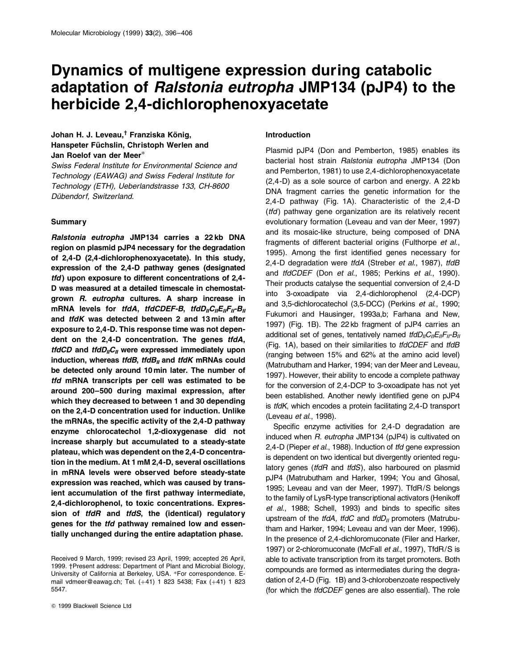# Dynamics of multigene expression during catabolic adaptation of Ralstonia eutropha JMP134 (pJP4) to the herbicide 2,4-dichlorophenoxyacetate

# Johan H. J. Leveau,<sup>†</sup> Franziska König, Hanspeter Füchslin, Christoph Werlen and Jan Roelof van der Meer\*

Swiss Federal Institute for Environmental Science and Technology (EAWAG) and Swiss Federal Institute for Technology (ETH), Ueberlandstrasse 133, CH-8600 Dübendorf, Switzerland.

# **Summary**

Ralstonia eutropha JMP134 carries a 22 kb DNA region on plasmid pJP4 necessary for the degradation of 2,4-D (2,4-dichlorophenoxyacetate). In this study, expression of the 2,4-D pathway genes (designated tfd) upon exposure to different concentrations of 2,4- D was measured at a detailed timescale in chemostatgrown R. eutropha cultures. A sharp increase in mRNA levels for tfdA, tfdCDEF-B, tfdD<sub>II</sub>C<sub>II</sub>E<sub>II</sub>-B<sub>II</sub> and tfdK was detected between 2 and 13 min after exposure to 2,4-D. This response time was not dependent on the 2,4-D concentration. The genes tfdA, tfdCD and tfdD<sub>II</sub>C<sub>II</sub> were expressed immediately upon induction, whereas tfdB, tfdB<sub>II</sub> and tfdK mRNAs could be detected only around 10 min later. The number of tfd mRNA transcripts per cell was estimated to be around 200-500 during maximal expression, after which they decreased to between 1 and 30 depending on the 2,4-D concentration used for induction. Unlike the mRNAs, the specific activity of the 2,4-D pathway enzyme chlorocatechol 1,2-dioxygenase did not increase sharply but accumulated to a steady-state plateau, which was dependent on the 2,4-D concentration in the medium. At 1 mM 2,4-D, several oscillations in mRNA levels were observed before steady-state expression was reached, which was caused by transient accumulation of the first pathway intermediate, 2,4-dichlorophenol, to toxic concentrations. Expression of tfdR and tfdS, the (identical) regulatory genes for the tfd pathway remained low and essentially unchanged during the entire adaptation phase.

Q 1999 Blackwell Science Ltd

#### Introduction

Plasmid pJP4 (Don and Pemberton, 1985) enables its bacterial host strain Ralstonia eutropha JMP134 (Don and Pemberton, 1981) to use 2,4-dichlorophenoxyacetate (2,4-D) as a sole source of carbon and energy. A 22 kb DNA fragment carries the genetic information for the 2,4-D pathway (Fig. 1A). Characteristic of the 2,4-D  $(tfd)$  pathway gene organization are its relatively recent evolutionary formation (Leveau and van der Meer, 1997) and its mosaic-like structure, being composed of DNA fragments of different bacterial origins (Fulthorpe et al., 1995). Among the first identified genes necessary for 2,4-D degradation were tfdA (Streber et al., 1987), tfdB and tfdCDEF (Don et al., 1985; Perkins et al., 1990). Their products catalyse the sequential conversion of 2,4-D into 3-oxoadipate via 2,4-dichlorophenol (2,4-DCP) and 3,5-dichlorocatechol (3,5-DCC) (Perkins et al., 1990; Fukumori and Hausinger, 1993a,b; Farhana and New, 1997) (Fig. 1B). The 22 kb fragment of pJP4 carries an additional set of genes, tentatively named  $t/dD_{II}C_{II}E_{II}F_{II}B_{II}$ (Fig. 1A), based on their similarities to tfdCDEF and tfdB (ranging between 15% and 62% at the amino acid level) (Matrubutham and Harker, 1994; van der Meer and Leveau, 1997). However, their ability to encode a complete pathway for the conversion of 2,4-DCP to 3-oxoadipate has not yet been established. Another newly identified gene on pJP4 is tfdK, which encodes a protein facilitating 2,4-D transport (Leveau et al., 1998).

Specific enzyme activities for 2,4-D degradation are induced when R. eutropha JMP134 (pJP4) is cultivated on 2,4-D (Pieper et al., 1988). Induction of tfd gene expression is dependent on two identical but divergently oriented regulatory genes (tfdR and tfdS), also harboured on plasmid pJP4 (Matrubutham and Harker, 1994; You and Ghosal, 1995; Leveau and van der Meer, 1997). TfdR/S belongs to the family of LysR-type transcriptional activators (Henikoff et al., 1988; Schell, 1993) and binds to specific sites upstream of the tfdA, tfdC and tfdD<sub>II</sub> promoters (Matrubutham and Harker, 1994; Leveau and van der Meer, 1996). In the presence of 2,4-dichloromuconate (Filer and Harker, 1997) or 2-chloromuconate (McFall et al., 1997), TfdR/S is able to activate transcription from its target promoters. Both compounds are formed as intermediates during the degradation of 2,4-D (Fig. 1B) and 3-chlorobenzoate respectively (for which the tfdCDEF genes are also essential). The role

Received 9 March, 1999; revised 23 April, 1999; accepted 26 April, 1999. *†Present address: Department of Plant and Microbial Biology,* University of California at Berkeley, USA. \*For correspondence. Email vdmeer@eawag.ch; Tel. (41) 1 823 5438; Fax (41) 1 823 5547.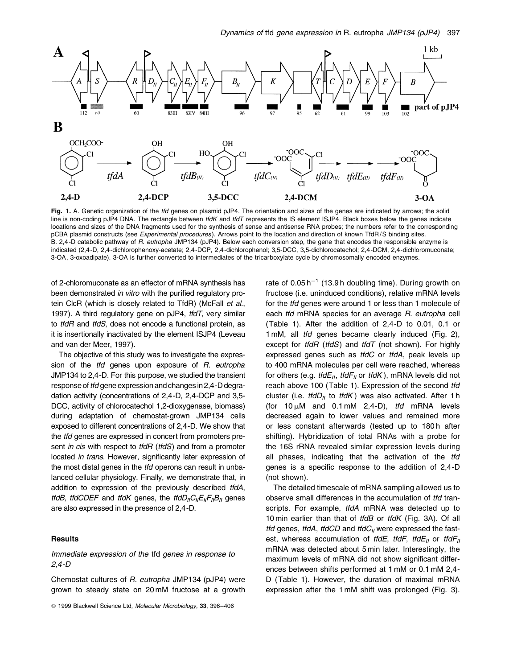

Fig. 1. A. Genetic organization of the tfd genes on plasmid pJP4. The orientation and sizes of the genes are indicated by arrows; the solid line is non-coding pJP4 DNA. The rectangle between tfdK and tfdT represents the IS element ISJP4. Black boxes below the genes indicate locations and sizes of the DNA fragments used for the synthesis of sense and antisense RNA probes; the numbers refer to the corresponding pCBA plasmid constructs (see Experimental procedures). Arrows point to the location and direction of known TfdR/S binding sites. B. 2,4 -D catabolic pathway of R. eutropha JMP134 (pJP4). Below each conversion step, the gene that encodes the responsible enzyme is indicated (2,4 -D, 2,4 -dichlorophenoxy-acetate; 2,4 -DCP, 2,4 -dichlorophenol; 3,5-DCC, 3,5-dichlorocatechol; 2,4 -DCM, 2,4 -dichloromuconate; 3-OA, 3-oxoadipate). 3-OA is further converted to intermediates of the tricarboxylate cycle by chromosomally encoded enzymes.

of 2-chloromuconate as an effector of mRNA synthesis has been demonstrated in vitro with the purified regulatory protein ClcR (which is closely related to TfdR) (McFall et al., 1997). A third regulatory gene on pJP4, tfdT, very similar to *tfdR* and *tfdS*, does not encode a functional protein, as it is insertionally inactivated by the element ISJP4 (Leveau and van der Meer, 1997).

The objective of this study was to investigate the expression of the *tfd* genes upon exposure of R. eutropha JMP134 to 2,4-D. For this purpose, we studied the transient response of *tfd* gene expression and changes in 2,4-D degradation activity (concentrations of 2,4-D, 2,4-DCP and 3,5- DCC, activity of chlorocatechol 1,2-dioxygenase, biomass) during adaptation of chemostat-grown JMP134 cells exposed to different concentrations of 2,4-D. We show that the tfd genes are expressed in concert from promoters present in cis with respect to tfdR (tfdS) and from a promoter located *in trans*. However, significantly later expression of the most distal genes in the *tfd* operons can result in unbalanced cellular physiology. Finally, we demonstrate that, in addition to expression of the previously described tfdA, tfdB, tfdCDEF and tfdK genes, the tfdD<sub>II</sub>C<sub>II</sub>E<sub>II</sub>F<sub>II</sub>B<sub>II</sub> genes are also expressed in the presence of 2,4-D.

## **Results**

# Immediate expression of the tfd genes in response to 2,4-D

Chemostat cultures of R. eutropha JMP134 (pJP4) were grown to steady state on 20 mM fructose at a growth

rate of  $0.05 h^{-1}$  (13.9 h doubling time). During growth on fructose (i.e. uninduced conditions), relative mRNA levels for the tfd genes were around 1 or less than 1 molecule of each tfd mRNA species for an average R. eutropha cell (Table 1). After the addition of 2,4-D to 0.01, 0.1 or 1 mM, all *tfd* genes became clearly induced (Fig. 2), except for *tfdR* (*tfdS*) and *tfdT* (not shown). For highly expressed genes such as tfdC or tfdA, peak levels up to 400 mRNA molecules per cell were reached, whereas for others (e.g. tfd $E_{II}$ , tfd $F_{II}$  or tfdK), mRNA levels did not reach above 100 (Table 1). Expression of the second tfd cluster (i.e. tfdD<sub>II</sub> to tfdK) was also activated. After 1 h (for  $10 \mu$ M and  $0.1 \text{ mM}$  2,4-D), tfd mRNA levels decreased again to lower values and remained more or less constant afterwards (tested up to 180h after shifting). Hybridization of total RNAs with a probe for the 16S rRNA revealed similar expression levels during all phases, indicating that the activation of the tfd genes is a specific response to the addition of  $2,4$ -D (not shown).

The detailed timescale of mRNA sampling allowed us to observe small differences in the accumulation of tfd transcripts. For example, tfdA mRNA was detected up to 10 min earlier than that of tfdB or tfdK (Fig. 3A). Of all tfd genes, tfdA, tfdCD and tfd $C_{II}$  were expressed the fastest, whereas accumulation of tfdE, tfdF, tfdE<sub>II</sub> or tfdF<sub>II</sub> mRNA was detected about 5 min later. Interestingly, the maximum levels of mRNA did not show significant differences between shifts performed at 1 mM or 0.1 mM 2,4- D (Table 1). However, the duration of maximal mRNA expression after the 1 mM shift was prolonged (Fig. 3).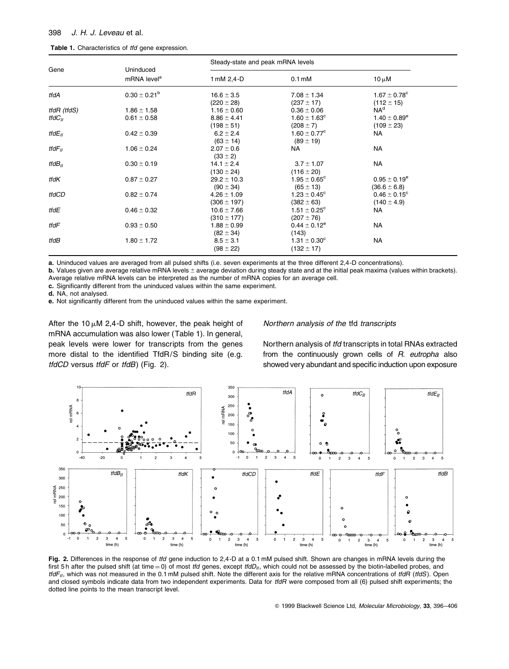| Gene         | Uninduced<br>mRNA level <sup>a</sup> | Steady-state and peak mRNA levels |                                   |                                                |  |
|--------------|--------------------------------------|-----------------------------------|-----------------------------------|------------------------------------------------|--|
|              |                                      | 1 mM 2,4-D                        | $0.1 \text{ mM}$                  | $10 \mu M$                                     |  |
| tfdA         | $0.30 \pm 0.21^b$                    | $16.6 \pm 3.5$<br>$(220 \pm 28)$  | $7.08 \pm 1.34$<br>$(237 \pm 17)$ | $1.67 \pm 0.78$ <sup>c</sup><br>$(112 \pm 15)$ |  |
| tfdR (tfdS)  | $1.86 \pm 1.58$                      | $1.16 \pm 0.60$                   | $0.36 \pm 0.06$                   | NA <sup>d</sup>                                |  |
| tfd $C_{II}$ | $0.61 \pm 0.58$                      | $8.86 \pm 4.41$                   | $1.60 \pm 1.63^c$                 | $1.40 \pm 0.89^e$                              |  |
|              |                                      | $(198 \pm 51)$                    | $(208 \pm 7)$                     | $(109 \pm 23)$                                 |  |
| tfd $E_{II}$ | $0.42 \pm 0.39$                      | $6.2 \pm 2.4$                     | $1.60 \pm 0.77^{\circ}$           | NA                                             |  |
|              |                                      | $(63 \pm 14)$                     | $(89 \pm 19)$                     |                                                |  |
| tfd $F_{II}$ | $1.06 \pm 0.24$                      | $2.07 \pm 0.6$                    | NA.                               | <b>NA</b>                                      |  |
|              |                                      | $(33 \pm 2)$                      |                                   |                                                |  |
| tfd $B_{II}$ | $0.30 \pm 0.19$                      | $14.1 \pm 2.4$                    | $3.7 \pm 1.07$                    | NA                                             |  |
|              |                                      | $(130 \pm 24)$                    | $(116 \pm 20)$                    |                                                |  |
| tfdK         | $0.87 \pm 0.27$                      | $29.2 \pm 10.3$                   | $1.95 \pm 0.65^{\circ}$           | $0.95 \pm 0.19^e$                              |  |
|              |                                      | $(90 \pm 34)$                     | $(65 \pm 13)$                     | $(36.6 \pm 6.8)$                               |  |
| tfdCD        | $0.82 \pm 0.74$                      | $4.26 \pm 1.09$                   | $1.23 \pm 0.45^{\circ}$           | $0.46 \pm 0.15^{\circ}$                        |  |
|              |                                      | $(306 \pm 197)$                   | $(382 \pm 63)$                    | $(140 \pm 4.9)$                                |  |
| tfdE         | $0.46 \pm 0.32$                      | $10.6 \pm 7.66$                   | $1.51 \pm 0.25^{\circ}$           | NA                                             |  |
|              |                                      | $(310 \pm 177)$                   | $(207 \pm 76)$                    |                                                |  |
| tfdF         | $0.93 \pm 0.50$                      | $1.88 \pm 0.99$                   | $0.44 \pm 0.12^e$                 | NA                                             |  |
|              |                                      | $(82 \pm 34)$                     | (143)                             |                                                |  |
| tfdB         | $1.80 \pm 1.72$                      | $8.5 \pm 3.1$                     | $1.31 \pm 0.30^{\circ}$           | NA                                             |  |
|              |                                      | $(98 \pm 22)$                     | $(132 \pm 17)$                    |                                                |  |

a. Uninduced values are averaged from all pulsed shifts (i.e. seven experiments at the three different 2,4 -D concentrations).

**b.** Values given are average relative mRNA levels  $\pm$  average deviation during steady state and at the initial peak maxima (values within brackets). Average relative mRNA levels can be interpreted as the number of mRNA copies for an average cell.

c. Significantly different from the uninduced values within the same experiment.

d. NA, not analysed.

e. Not significantly different from the uninduced values within the same experiment.

After the 10  $\mu$ M 2,4-D shift, however, the peak height of mRNA accumulation was also lower (Table 1). In general, peak levels were lower for transcripts from the genes more distal to the identified TfdR/S binding site (e.g. tfdCD versus tfdF or tfdB) (Fig. 2).

## Northern analysis of the tfd transcripts

Northern analysis of tfd transcripts in total RNAs extracted from the continuously grown cells of R. eutropha also showed very abundant and specific induction upon exposure



Fig. 2. Differences in the response of tfd gene induction to 2,4-D at a 0.1 mM pulsed shift. Shown are changes in mRNA levels during the first 5 h after the pulsed shift (at time = 0) of most tfd genes, except tfdD<sub>II</sub>, which could not be assessed by the biotin-labelled probes, and  $t/dF_{II}$ , which was not measured in the 0.1 mM pulsed shift. Note the different axis for the relative mRNA concentrations of tfdR (tfdS). Open and closed symbols indicate data from two independent experiments. Data for tfdR were composed from all (6) pulsed shift experiments; the dotted line points to the mean transcript level.

© 1999 Blackwell Science Ltd, Molecular Microbiology, 33, 396-406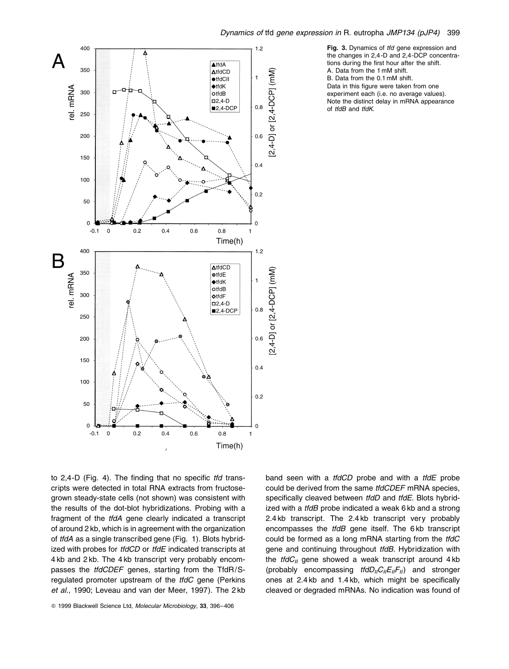

Fig. 3. Dynamics of tfd gene expression and the changes in 2,4 -D and 2,4 -DCP concentrations during the first hour after the shift. A. Data from the 1 mM shift. B. Data from the 0.1 mM shift. Data in this figure were taken from one experiment each (i.e. no average values). Note the distinct delay in mRNA appearance of *tfdB* and *tfdK*.

to  $2,4$ -D (Fig. 4). The finding that no specific tfd transcripts were detected in total RNA extracts from fructosegrown steady-state cells (not shown) was consistent with the results of the dot-blot hybridizations. Probing with a fragment of the tfdA gene clearly indicated a transcript of around 2 kb, which is in agreement with the organization of tfdA as a single transcribed gene (Fig. 1). Blots hybridized with probes for tfdCD or tfdE indicated transcripts at 4 kb and 2 kb. The 4 kb transcript very probably encompasses the *tfdCDEF* genes, starting from the TfdR/Sregulated promoter upstream of the *tfdC* gene (Perkins et al., 1990; Leveau and van der Meer, 1997). The 2 kb

© 1999 Blackwell Science Ltd, Molecular Microbiology, 33, 396-406

band seen with a *tfdCD* probe and with a *tfdE* probe could be derived from the same *tfdCDEF* mRNA species, specifically cleaved between tfdD and tfdE. Blots hybridized with a *tfdB* probe indicated a weak 6 kb and a strong 2.4 kb transcript. The 2.4 kb transcript very probably encompasses the tfdB gene itself. The 6kb transcript could be formed as a long mRNA starting from the tfdC gene and continuing throughout tfdB. Hybridization with the *tfdC<sub>II</sub>* gene showed a weak transcript around  $4 \text{ kb}$ (probably encompassing  $tfdD_{II}C_{II}F_{II}$ ) and stronger ones at  $2.4$  kb and  $1.4$  kb, which might be specifically cleaved or degraded mRNAs. No indication was found of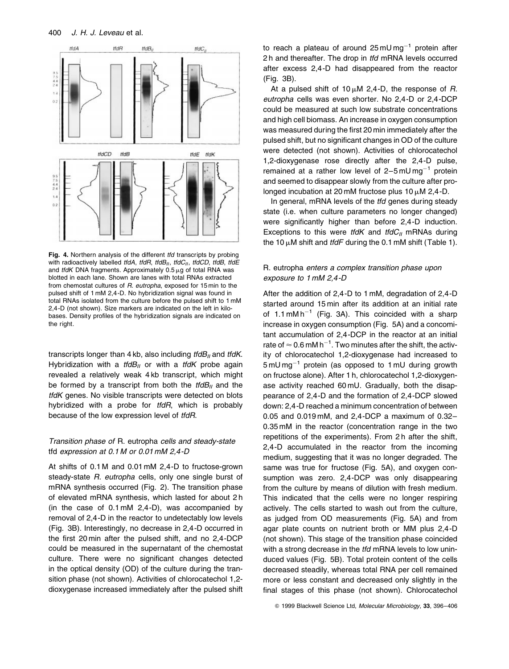

Fig. 4. Northern analysis of the different tfd transcripts by probing with radioactively labelled tfdA, tfdR, tfdB $_{II}$ , tfdC $_{II}$ , tfdCD, tfdB, tfdE and *tfdK* DNA fragments. Approximately  $0.5 \mu$ g of total RNA was blotted in each lane. Shown are lanes with total RNAs extracted from chemostat cultures of R. eutropha, exposed for 15 min to the pulsed shift of 1 mM 2,4 -D. No hybridization signal was found in total RNAs isolated from the culture before the pulsed shift to 1 mM 2,4 -D (not shown). Size markers are indicated on the left in kilobases. Density profiles of the hybridization signals are indicated on the right.

transcripts longer than 4 kb, also including  $t/dB<sub>II</sub>$  and  $t/dK$ . Hybridization with a  $t/dB_{II}$  or with a  $t/dK$  probe again revealed a relatively weak 4 kb transcript, which might be formed by a transcript from both the  $t/dB<sub>II</sub>$  and the tfdK genes. No visible transcripts were detected on blots hybridized with a probe for tfdR, which is probably because of the low expression level of tfdR.

# Transition phase of R. eutropha cells and steady-state tfd expression at 0.1 M or 0.01 mM 2,4-D

At shifts of 0.1 M and 0.01 mM 2,4-D to fructose-grown steady-state R. eutropha cells, only one single burst of mRNA synthesis occurred (Fig. 2). The transition phase of elevated mRNA synthesis, which lasted for about 2 h (in the case of 0.1 mM 2,4-D), was accompanied by removal of 2,4-D in the reactor to undetectably low levels (Fig. 3B). Interestingly, no decrease in 2,4-D occurred in the first 20 min after the pulsed shift, and no 2,4-DCP could be measured in the supernatant of the chemostat culture. There were no significant changes detected in the optical density (OD) of the culture during the transition phase (not shown). Activities of chlorocatechol 1,2 dioxygenase increased immediately after the pulsed shift to reach a plateau of around  $25 \text{ mU} \text{ m} \text{g}^{-1}$  protein after 2h and thereafter. The drop in tfd mRNA levels occurred after excess 2,4-D had disappeared from the reactor (Fig. 3B).

At a pulsed shift of  $10 \mu M$  2,4-D, the response of R. eutropha cells was even shorter. No 2,4-D or 2,4-DCP could be measured at such low substrate concentrations and high cell biomass. An increase in oxygen consumption was measured during the first 20 min immediately after the pulsed shift, but no significant changes in OD of the culture were detected (not shown). Activities of chlorocatechol 1,2-dioxygenase rose directly after the 2,4-D pulse, remained at a rather low level of  $2-5$  mU mg<sup>-1</sup> protein and seemed to disappear slowly from the culture after prolonged incubation at 20 mM fructose plus 10  $\mu$ M 2,4-D.

In general, mRNA levels of the tfd genes during steady state (i.e. when culture parameters no longer changed) were significantly higher than before 2,4-D induction. Exceptions to this were tfdK and tfd $C_{II}$  mRNAs during the 10  $\mu$ M shift and tfdF during the 0.1 mM shift (Table 1).

# R. eutropha enters a complex transition phase upon exposure to 1 mM 2,4-D

After the addition of 2,4-D to 1 mM, degradation of 2,4-D started around 15 min after its addition at an initial rate of 1.1 mM h<sup>-1</sup> (Fig. 3A). This coincided with a sharp increase in oxygen consumption (Fig. 5A) and a concomitant accumulation of 2,4-DCP in the reactor at an initial rate of  $\approx$  0.6 mM h $^{-1}$ . Two minutes after the shift, the activity of chlorocatechol 1,2-dioxygenase had increased to  $5 \text{ mU mg}^{-1}$  protein (as opposed to 1 mU during growth on fructose alone). After 1 h, chlorocatechol 1,2-dioxygenase activity reached 60 mU. Gradually, both the disappearance of 2,4-D and the formation of 2,4-DCP slowed down: 2,4-D reached a minimum concentration of between 0.05 and 0.019 mM, and 2.4-DCP a maximum of  $0.32-$ 0.35 mM in the reactor (concentration range in the two repetitions of the experiments). From 2 h after the shift, 2,4-D accumulated in the reactor from the incoming medium, suggesting that it was no longer degraded. The same was true for fructose (Fig. 5A), and oxygen consumption was zero. 2,4-DCP was only disappearing from the culture by means of dilution with fresh medium. This indicated that the cells were no longer respiring actively. The cells started to wash out from the culture, as judged from OD measurements (Fig. 5A) and from agar plate counts on nutrient broth or MM plus 2,4-D (not shown). This stage of the transition phase coincided with a strong decrease in the tfd mRNA levels to low uninduced values (Fig. 5B). Total protein content of the cells decreased steadily, whereas total RNA per cell remained more or less constant and decreased only slightly in the final stages of this phase (not shown). Chlorocatechol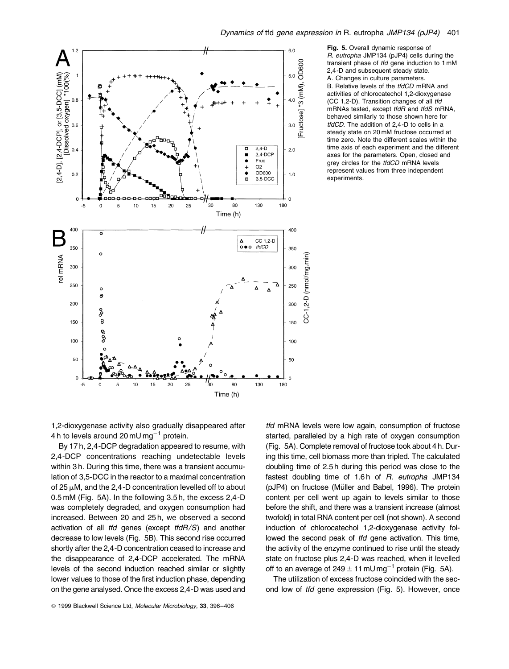



R. eutropha JMP134 (pJP4) cells during the transient phase of tfd gene induction to 1 mM 2,4 -D and subsequent steady state. A. Changes in culture parameters. B. Relative levels of the tfdCD mRNA and activities of chlorocatechol 1,2-dioxygenase (CC 1,2-D). Transition changes of all tfd mRNAs tested, except tfdR and tfdS mRNA, behaved similarly to those shown here for tfdCD. The addition of 2,4 -D to cells in a steady state on 20 mM fructose occurred at time zero. Note the different scales within the time axis of each experiment and the different axes for the parameters. Open, closed and grey circles for the tfdCD mRNA levels represent values from three independent experiments.

1,2-dioxygenase activity also gradually disappeared after 4 h to levels around 20 mU mg<sup>-1</sup> protein.

By 17 h, 2,4-DCP degradation appeared to resume, with 2,4-DCP concentrations reaching undetectable levels within 3 h. During this time, there was a transient accumulation of 3,5-DCC in the reactor to a maximal concentration of 25  $\mu$ M, and the 2,4-D concentration levelled off to about 0.5 mM (Fig. 5A). In the following 3.5 h, the excess 2,4-D was completely degraded, and oxygen consumption had increased. Between 20 and 25 h, we observed a second activation of all tfd genes (except  $tfdR/S$ ) and another decrease to low levels (Fig. 5B). This second rise occurred shortly after the 2,4-D concentration ceased to increase and the disappearance of 2,4-DCP accelerated. The mRNA levels of the second induction reached similar or slightly lower values to those of the first induction phase, depending on the gene analysed. Once the excess 2,4-D was used and

tfd mRNA levels were low again, consumption of fructose started, paralleled by a high rate of oxygen consumption (Fig. 5A). Complete removal of fructose took about 4 h. During this time, cell biomass more than tripled. The calculated doubling time of 2.5 h during this period was close to the fastest doubling time of 1.6h of R. eutropha JMP134 (pJP4) on fructose (Müller and Babel, 1996). The protein content per cell went up again to levels similar to those before the shift, and there was a transient increase (almost twofold) in total RNA content per cell (not shown). A second induction of chlorocatechol 1,2-dioxygenase activity followed the second peak of *tfd* gene activation. This time, the activity of the enzyme continued to rise until the steady state on fructose plus 2,4-D was reached, when it levelled off to an average of  $249 \pm 11$  mU mg<sup>-1</sup> protein (Fig. 5A).

The utilization of excess fructose coincided with the second low of tfd gene expression (Fig. 5). However, once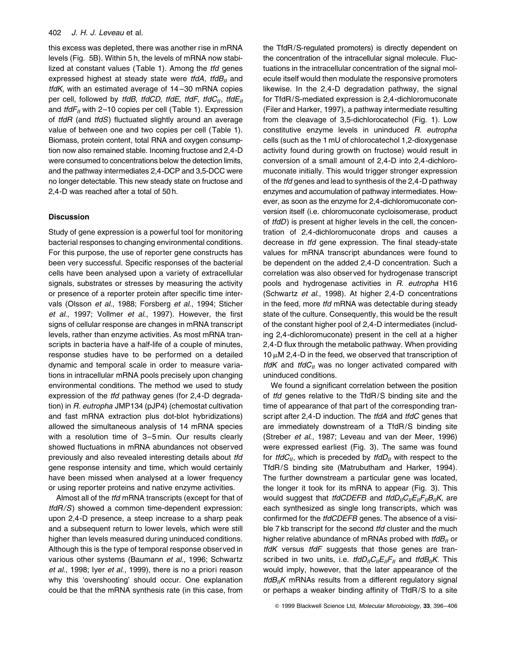## 402 J. H. J. Leveau et al.

this excess was depleted, there was another rise in mRNA levels (Fig. 5B). Within 5 h, the levels of mRNA now stabilized at constant values (Table 1). Among the tfd genes expressed highest at steady state were tfdA, tfdB $\mu$  and  $tfdK$ , with an estimated average of  $14-30$  mRNA copies per cell, followed by tfdB, tfdCD, tfdE, tfdF, tfdC $_{II}$ , tfdE $_{II}$ and  $tfdF_{II}$  with 2-10 copies per cell (Table 1). Expression of  $tfdR$  (and  $tfdS$ ) fluctuated slightly around an average value of between one and two copies per cell (Table 1). Biomass, protein content, total RNA and oxygen consumption now also remained stable. Incoming fructose and 2,4-D were consumed to concentrations below the detection limits, and the pathway intermediates 2,4-DCP and 3,5-DCC were no longer detectable. This new steady state on fructose and 2,4-D was reached after a total of 50 h.

# **Discussion**

Study of gene expression is a powerful tool for monitoring bacterial responses to changing environmental conditions. For this purpose, the use of reporter gene constructs has been very successful. Specific responses of the bacterial cells have been analysed upon a variety of extracellular signals, substrates or stresses by measuring the activity or presence of a reporter protein after specific time intervals (Olsson et al., 1988; Forsberg et al., 1994; Sticher et al., 1997; Vollmer et al., 1997). However, the first signs of cellular response are changes in mRNA transcript levels, rather than enzyme activities. As most mRNA transcripts in bacteria have a half-life of a couple of minutes, response studies have to be performed on a detailed dynamic and temporal scale in order to measure variations in intracellular mRNA pools precisely upon changing environmental conditions. The method we used to study expression of the tfd pathway genes (for 2,4-D degradation) in R. eutropha JMP134 (pJP4) (chemostat cultivation and fast mRNA extraction plus dot-blot hybridizations) allowed the simultaneous analysis of 14 mRNA species with a resolution time of 3-5 min. Our results clearly showed fluctuations in mRNA abundances not observed previously and also revealed interesting details about tfd gene response intensity and time, which would certainly have been missed when analysed at a lower frequency or using reporter proteins and native enzyme activities.

Almost all of the tfd mRNA transcripts (except for that of tfdR/S) showed a common time-dependent expression: upon 2,4-D presence, a steep increase to a sharp peak and a subsequent return to lower levels, which were still higher than levels measured during uninduced conditions. Although this is the type of temporal response observed in various other systems (Baumann et al., 1996; Schwartz et al., 1998; Iyer et al., 1999), there is no a priori reason why this 'overshooting' should occur. One explanation could be that the mRNA synthesis rate (in this case, from

the TfdR/S-regulated promoters) is directly dependent on the concentration of the intracellular signal molecule. Fluctuations in the intracellular concentration of the signal molecule itself would then modulate the responsive promoters likewise. In the 2,4-D degradation pathway, the signal for TfdR/S-mediated expression is 2,4-dichloromuconate (Filer and Harker, 1997), a pathway intermediate resulting from the cleavage of 3,5-dichlorocatechol (Fig. 1). Low constitutive enzyme levels in uninduced R. eutropha cells (such as the 1 mU of chlorocatechol 1,2-dioxygenase activity found during growth on fructose) would result in conversion of a small amount of 2,4-D into 2,4-dichloromuconate initially. This would trigger stronger expression of the tfd genes and lead to synthesis of the 2,4-D pathway enzymes and accumulation of pathway intermediates. However, as soon as the enzyme for 2,4-dichloromuconate conversion itself (i.e. chloromuconate cycloisomerase, product of tfdD) is present at higher levels in the cell, the concentration of 2,4-dichloromuconate drops and causes a decrease in tfd gene expression. The final steady-state values for mRNA transcript abundances were found to be dependent on the added 2,4-D concentration. Such a correlation was also observed for hydrogenase transcript pools and hydrogenase activities in R. eutropha H16 (Schwartz et al., 1998). At higher 2,4-D concentrations in the feed, more tfd mRNA was detectable during steady state of the culture. Consequently, this would be the result of the constant higher pool of 2,4-D intermediates (including 2,4-dichloromuconate) present in the cell at a higher 2,4-D flux through the metabolic pathway. When providing 10  $\mu$ M 2,4-D in the feed, we observed that transcription of tfdK and tfd $C_{II}$  was no longer activated compared with uninduced conditions.

We found a significant correlation between the position of tfd genes relative to the TfdR/S binding site and the time of appearance of that part of the corresponding transcript after 2,4-D induction. The tfdA and tfdC genes that are immediately downstream of a TfdR/S binding site (Streber et al., 1987; Leveau and van der Meer, 1996) were expressed earliest (Fig. 3). The same was found for *tfdC<sub>II</sub>*, which is preceded by *tfdD<sub>II</sub>* with respect to the TfdR/S binding site (Matrubutham and Harker, 1994). The further downstream a particular gene was located, the longer it took for its mRNA to appear (Fig. 3). This would suggest that *tfdCDEFB* and  $tfdD_{II}C_{II}E_{II}F_{II}B_{II}K$ , are each synthesized as single long transcripts, which was confirmed for the *tfdCDEFB* genes. The absence of a visible 7 kb transcript for the second tfd cluster and the much higher relative abundance of mRNAs probed with  $t/dB<sub>II</sub>$  or tfdK versus tfdF suggests that those genes are transcribed in two units, i.e.  $tfdD_{II}C_{II}F_{II}$  and  $tfdB_{II}K$ . This would imply, however, that the later appearance of the  $tfdB_{II}K$  mRNAs results from a different regulatory signal or perhaps a weaker binding affinity of TfdR/S to a site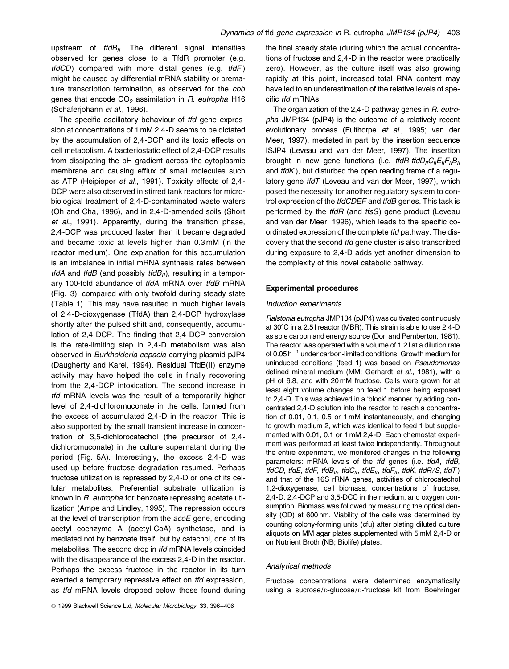upstream of  $tfdB_{II}$ . The different signal intensities observed for genes close to a TfdR promoter (e.g.  $tfdCD$ ) compared with more distal genes (e.g.  $tfdF$ ) might be caused by differential mRNA stability or premature transcription termination, as observed for the cbb genes that encode  $CO<sub>2</sub>$  assimilation in  $R$ . eutropha H16 (Schaferjohann et al., 1996).

The specific oscillatory behaviour of tfd gene expression at concentrations of 1 mM 2,4-D seems to be dictated by the accumulation of 2,4-DCP and its toxic effects on cell metabolism. A bacteriostatic effect of 2,4-DCP results from dissipating the pH gradient across the cytoplasmic membrane and causing efflux of small molecules such as ATP (Heipieper et al., 1991). Toxicity effects of 2,4- DCP were also observed in stirred tank reactors for microbiological treatment of 2,4-D-contaminated waste waters (Oh and Cha, 1996), and in 2,4-D-amended soils (Short et al., 1991). Apparently, during the transition phase, 2,4-DCP was produced faster than it became degraded and became toxic at levels higher than 0.3 mM (in the reactor medium). One explanation for this accumulation is an imbalance in initial mRNA synthesis rates between tfdA and tfdB (and possibly  $tfdB_{II}$ ), resulting in a temporary 100-fold abundance of tfdA mRNA over tfdB mRNA (Fig. 3), compared with only twofold during steady state (Table 1). This may have resulted in much higher levels of 2,4-D-dioxygenase (TfdA) than 2,4-DCP hydroxylase shortly after the pulsed shift and, consequently, accumulation of  $2,4$ -DCP. The finding that  $2,4$ -DCP conversion is the rate-limiting step in 2,4-D metabolism was also observed in Burkholderia cepacia carrying plasmid pJP4 (Daugherty and Karel, 1994). Residual TfdB(II) enzyme activity may have helped the cells in finally recovering from the 2,4-DCP intoxication. The second increase in tfd mRNA levels was the result of a temporarily higher level of 2,4-dichloromuconate in the cells, formed from the excess of accumulated 2,4-D in the reactor. This is also supported by the small transient increase in concentration of 3,5-dichlorocatechol (the precursor of 2,4 dichloromuconate) in the culture supernatant during the period (Fig. 5A). Interestingly, the excess 2,4-D was used up before fructose degradation resumed. Perhaps fructose utilization is repressed by 2,4-D or one of its cellular metabolites. Preferential substrate utilization is known in R. eutropha for benzoate repressing acetate utilization (Ampe and Lindley, 1995). The repression occurs at the level of transcription from the acoE gene, encoding acetyl coenzyme A (acetyl-CoA) synthetase, and is mediated not by benzoate itself, but by catechol, one of its metabolites. The second drop in tfd mRNA levels coincided with the disappearance of the excess 2,4-D in the reactor. Perhaps the excess fructose in the reactor in its turn exerted a temporary repressive effect on tfd expression, as tfd mRNA levels dropped below those found during

the final steady state (during which the actual concentrations of fructose and 2,4-D in the reactor were practically zero). However, as the culture itself was also growing rapidly at this point, increased total RNA content may have led to an underestimation of the relative levels of specific tfd mRNAs.

The organization of the 2,4-D pathway genes in R. eutropha JMP134 (pJP4) is the outcome of a relatively recent evolutionary process (Fulthorpe et al., 1995; van der Meer, 1997), mediated in part by the insertion sequence ISJP4 (Leveau and van der Meer, 1997). The insertion brought in new gene functions (i.e. tfdR-tfdD<sub>II</sub>C<sub>II</sub>E<sub>II</sub>F<sub>II</sub>B<sub>II</sub> and  $t/dK$ ), but disturbed the open reading frame of a regulatory gene tfdT (Leveau and van der Meer, 1997), which posed the necessity for another regulatory system to control expression of the *tfdCDEF* and *tfdB* genes. This task is performed by the tfdR (and tfsS) gene product (Leveau and van der Meer, 1996), which leads to the specific coordinated expression of the complete tfd pathway. The discovery that the second tfd gene cluster is also transcribed during exposure to 2,4-D adds yet another dimension to the complexity of this novel catabolic pathway.

## Experimental procedures

#### Induction experiments

Ralstonia eutropha JMP134 (pJP4) was cultivated continuously at 30°C in a 2.51 reactor (MBR). This strain is able to use 2,4-D as sole carbon and energy source (Don and Pemberton, 1981). The reactor was operated with a volume of 1.2 l at a dilution rate of  $0.05 h^{-1}$  under carbon-limited conditions. Growth medium for uninduced conditions (feed 1) was based on Pseudomonas defined mineral medium (MM; Gerhardt et al., 1981), with a pH of 6.8, and with 20 mM fructose. Cells were grown for at least eight volume changes on feed 1 before being exposed to 2,4-D. This was achieved in a 'block' manner by adding concentrated 2,4-D solution into the reactor to reach a concentration of 0.01, 0.1, 0.5 or 1 mM instantaneously, and changing to growth medium 2, which was identical to feed 1 but supplemented with 0.01, 0.1 or 1 mM 2,4-D. Each chemostat experiment was performed at least twice independently. Throughout the entire experiment, we monitored changes in the following parameters: mRNA levels of the *tfd* genes (i.e. *tfdA, tfdB,* tfdCD, tfdE, tfdF, tfdB<sub>II</sub>, tfdC<sub>II</sub>, tfdE<sub>II</sub>, tfdF<sub>II</sub>, tfdK, tfdR/S, tfdT) and that of the 16S rRNA genes, activities of chlorocatechol 1,2-dioxygenase, cell biomass, concentrations of fructose, 2,4-D, 2,4-DCP and 3,5-DCC in the medium, and oxygen consumption. Biomass was followed by measuring the optical density (OD) at 600 nm. Viability of the cells was determined by counting colony-forming units (cfu) after plating diluted culture aliquots on MM agar plates supplemented with 5 mM 2,4-D or on Nutrient Broth (NB; Biolife) plates.

#### Analytical methods

Fructose concentrations were determined enzymatically using a sucrose/D-glucose/D-fructose kit from Boehringer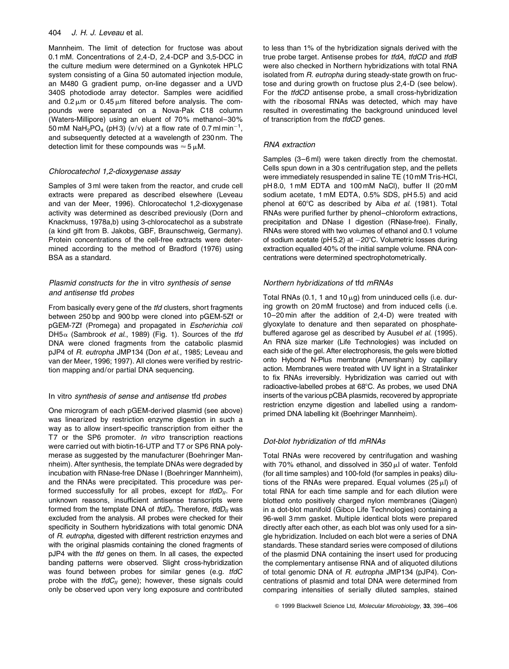## 404 J. H. J. Leveau et al.

Mannheim. The limit of detection for fructose was about 0.1 mM. Concentrations of 2,4 -D, 2,4 -DCP and 3,5-DCC in the culture medium were determined on a Gynkotek HPLC system consisting of a Gina 50 automated injection module, an M480 G gradient pump, on-line degasser and a UVD 340S photodiode array detector. Samples were acidified and  $0.2 \mu m$  or  $0.45 \mu m$  filtered before analysis. The compounds were separated on a Nova-Pak C18 column (Waters-Millipore) using an eluent of 70% methanol-30% 50 mM NaH<sub>2</sub>PO<sub>4</sub> (pH 3) (v/v) at a flow rate of 0.7 ml min<sup>-1</sup>, and subsequently detected at a wavelength of 230 nm. The detection limit for these compounds was  $\approx$  5  $\mu$ M.

# Chlorocatechol 1,2-dioxygenase assay

Samples of 3 ml were taken from the reactor, and crude cell extracts were prepared as described elsewhere (Leveau and van der Meer, 1996). Chlorocatechol 1,2-dioxygenase activity was determined as described previously (Dorn and Knackmuss, 1978a,b) using 3-chlorocatechol as a substrate (a kind gift from B. Jakobs, GBF, Braunschweig, Germany). Protein concentrations of the cell-free extracts were determined according to the method of Bradford (1976) using BSA as a standard.

# Plasmid constructs for the in vitro synthesis of sense and antisense tfd probes

From basically every gene of the *tfd* clusters, short fragments between 250 bp and 900 bp were cloned into pGEM-5Zf or pGEM-7Zf (Promega) and propagated in Escherichia coli DH5 $\alpha$  (Sambrook et al., 1989) (Fig. 1). Sources of the tfd DNA were cloned fragments from the catabolic plasmid pJP4 of R. eutropha JMP134 (Don et al., 1985; Leveau and van der Meer, 1996; 1997). All clones were verified by restriction mapping and/or partial DNA sequencing.

# In vitro synthesis of sense and antisense tfd probes

One microgram of each pGEM-derived plasmid (see above) was linearized by restriction enzyme digestion in such a way as to allow insert-specific transcription from either the T7 or the SP6 promoter. In vitro transcription reactions were carried out with biotin-16-UTP and T7 or SP6 RNA polymerase as suggested by the manufacturer (Boehringer Mannheim). After synthesis, the template DNAs were degraded by incubation with RNase-free DNase I (Boehringer Mannheim), and the RNAs were precipitated. This procedure was performed successfully for all probes, except for  $tfdD_{II}$ . For unknown reasons, insufficient antisense transcripts were formed from the template DNA of  $tfdD_{II}$ . Therefore,  $tfdD_{II}$  was excluded from the analysis. All probes were checked for their specificity in Southern hybridizations with total genomic DNA of R. eutropha, digested with different restriction enzymes and with the original plasmids containing the cloned fragments of pJP4 with the tfd genes on them. In all cases, the expected banding patterns were observed. Slight cross-hybridization was found between probes for similar genes (e.g. tfdC probe with the  $tfdC_{II}$  gene); however, these signals could only be observed upon very long exposure and contributed to less than 1% of the hybridization signals derived with the true probe target. Antisense probes for *tfdA*, *tfdCD* and *tfdB* were also checked in Northern hybridizations with total RNA isolated from R. eutropha during steady-state growth on fructose and during growth on fructose plus 2,4-D (see below). For the tfdCD antisense probe, a small cross-hybridization with the ribosomal RNAs was detected, which may have resulted in overestimating the background uninduced level of transcription from the tfdCD genes.

# RNA extraction

Samples (3-6 ml) were taken directly from the chemostat. Cells spun down in a 30 s centrifugation step, and the pellets were immediately resuspended in saline TE (10 mM Tris-HCl, pH 8.0, 1 mM EDTA and 100 mM NaCl), buffer II (20 mM sodium acetate, 1 mM EDTA, 0.5% SDS, pH 5.5) and acid phenol at  $60^{\circ}$ C as described by Aiba et al. (1981). Total RNAs were purified further by phenol-chloroform extractions, precipitation and DNase I digestion (RNase-free). Finally, RNAs were stored with two volumes of ethanol and 0.1 volume of sodium acetate ( $pH$  5.2) at  $-20^{\circ}$ C. Volumetric losses during extraction equalled 40% of the initial sample volume. RNA concentrations were determined spectrophotometrically.

# Northern hybridizations of tfd mRNAs

Total RNAs (0.1, 1 and 10  $\mu$ g) from uninduced cells (i.e. during growth on 20 mM fructose) and from induced cells (i.e. 10-20 min after the addition of 2,4-D) were treated with glyoxylate to denature and then separated on phosphatebuffered agarose gel as described by Ausubel et al. (1995). An RNA size marker (Life Technologies) was included on each side of the gel. After electrophoresis, the gels were blotted onto Hybond N-Plus membrane (Amersham) by capillary action. Membranes were treated with UV light in a Stratalinker to fix RNAs irreversibly. Hybridization was carried out with radioactive-labelled probes at 68°C. As probes, we used DNA inserts of the various pCBA plasmids, recovered by appropriate restriction enzyme digestion and labelled using a randomprimed DNA labelling kit (Boehringer Mannheim).

# Dot-blot hybridization of tfd mRNAs

Total RNAs were recovered by centrifugation and washing with 70% ethanol, and dissolved in  $350 \mu$  of water. Tenfold (for all time samples) and 100-fold (for samples in peaks) dilutions of the RNAs were prepared. Equal volumes (25  $\mu$ l) of total RNA for each time sample and for each dilution were blotted onto positively charged nylon membranes (Qiagen) in a dot-blot manifold (Gibco Life Technologies) containing a 96-well 3 mm gasket. Multiple identical blots were prepared directly after each other, as each blot was only used for a single hybridization. Included on each blot were a series of DNA standards. These standard series were composed of dilutions of the plasmid DNA containing the insert used for producing the complementary antisense RNA and of aliquoted dilutions of total genomic DNA of R. eutropha JMP134 (pJP4). Concentrations of plasmid and total DNA were determined from comparing intensities of serially diluted samples, stained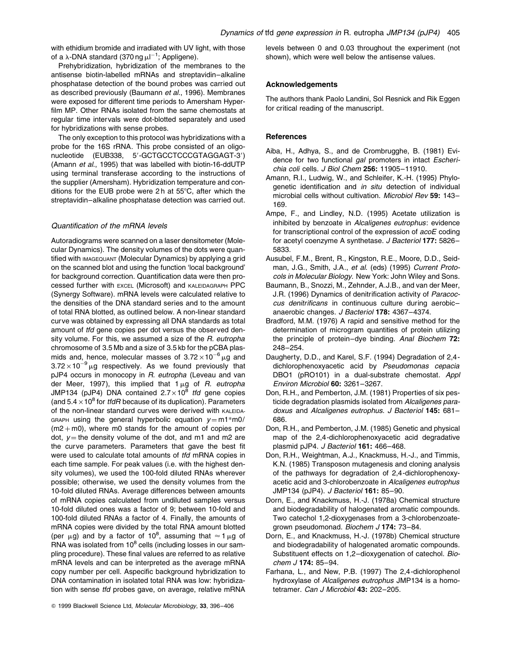with ethidium bromide and irradiated with UV light, with those of a  $\lambda$ -DNA standard (370 ng  $\mu$ l<sup>-1</sup>; Appligene).

Prehybridization, hybridization of the membranes to the antisense biotin-labelled mRNAs and streptavidin-alkaline phosphatase detection of the bound probes was carried out as described previously (Baumann et al., 1996). Membranes were exposed for different time periods to Amersham Hyper film MP. Other RNAs isolated from the same chemostats at regular time intervals were dot-blotted separately and used for hybridizations with sense probes.

The only exception to this protocol was hybridizations with a probe for the 16S rRNA. This probe consisted of an oligonucleotide (EUB338, 5'-GCTGCCTCCCGTAGGAGT-3') (Amann et al., 1995) that was labelled with biotin-16-ddUTP using terminal transferase according to the instructions of the supplier (Amersham). Hybridization temperature and conditions for the EUB probe were 2h at  $55^{\circ}$ C, after which the streptavidin-alkaline phosphatase detection was carried out.

## Quantification of the mRNA levels

Autoradiograms were scanned on a laser densitometer (Molecular Dynamics). The density volumes of the dots were quantified with IMAGEQUANT (Molecular Dynamics) by applying a grid on the scanned blot and using the function 'local background' for background correction. Quantification data were then processed further with EXCEL (Microsoft) and KALEIDAGRAPH PPC (Synergy Software). mRNA levels were calculated relative to the densities of the DNA standard series and to the amount of total RNA blotted, as outlined below. A non-linear standard curve was obtained by expressing all DNA standards as total amount of tfd gene copies per dot versus the observed density volume. For this, we assumed a size of the R. eutropha chromosome of 3.5 Mb and a size of 3.5 kb for the pCBA plasmids and, hence, molecular masses of  $3.72 \times 10^{-6}$  µg and  $3.72 \times 10^{-9}$  µg respectively. As we found previously that pJP4 occurs in monocopy in R. eutropha (Leveau and van der Meer, 1997), this implied that  $1 \mu$ g of R. eutropha JMP134 (pJP4) DNA contained  $2.7 \times 10^8$  tfd gene copies (and  $5.4 \times 10^8$  for *tfdR* because of its duplication). Parameters of the non-linear standard curves were derived with KALEIDA-GRAPH using the general hyperbolic equation  $v = m1*m0/$  $(m2 + m0)$ , where m0 stands for the amount of copies per dot,  $v =$  the density volume of the dot, and m1 and m2 are the curve parameters. Parameters that gave the best fit were used to calculate total amounts of tfd mRNA copies in each time sample. For peak values (i.e. with the highest density volumes), we used the 100-fold diluted RNAs wherever possible; otherwise, we used the density volumes from the 10-fold diluted RNAs. Average differences between amounts of mRNA copies calculated from undiluted samples versus 10-fold diluted ones was a factor of 9; between 10-fold and 100-fold diluted RNAs a factor of 4. Finally, the amounts of mRNA copies were divided by the total RNA amount blotted (per  $\mu$ g) and by a factor of 10<sup>8</sup>, assuming that  $\approx$  1  $\mu$ g of RNA was isolated from  $10^8$  cells (including losses in our sampling procedure). These final values are referred to as relative mRNA levels and can be interpreted as the average mRNA copy number per cell. Aspecific background hybridization to DNA contamination in isolated total RNA was low: hybridization with sense tfd probes gave, on average, relative mRNA

© 1999 Blackwell Science Ltd, Molecular Microbiology, 33, 396-406

levels between 0 and 0.03 throughout the experiment (not shown), which were well below the antisense values.

## Acknowledgements

The authors thank Paolo Landini, Sol Resnick and Rik Eggen for critical reading of the manuscript.

# **References**

- Aiba, H., Adhya, S., and de Crombrugghe, B. (1981) Evidence for two functional gal promoters in intact Escherichia coli cells. J Biol Chem 256: 11905-11910.
- Amann, R.I., Ludwig, W., and Schleifer, K.-H. (1995) Phylogenetic identification and in situ detection of individual microbial cells without cultivation. Microbiol Rev 59: 143-169.
- Ampe, F., and Lindley, N.D. (1995) Acetate utilization is inhibited by benzoate in Alcaligenes eutrophus: evidence for transcriptional control of the expression of acoE coding for acetyl coenzyme A synthetase. J Bacteriol 177: 5826-5833.
- Ausubel, F.M., Brent, R., Kingston, R.E., Moore, D.D., Seidman, J.G., Smith, J.A., et al. (eds) (1995) Current Protocols in Molecular Biology. New York: John Wiley and Sons.
- Baumann, B., Snozzi, M., Zehnder, A.J.B., and van der Meer, J.R. (1996) Dynamics of denitrification activity of Paracoccus denitrificans in continuous culture during aerobicanaerobic changes. J Bacteriol 178: 4367-4374.
- Bradford, M.M. (1976) A rapid and sensitive method for the determination of microgram quantities of protein utilizing the principle of protein-dye binding. Anal Biochem 72: 248±254.
- Daugherty, D.D., and Karel, S.F. (1994) Degradation of 2,4 dichlorophenoxyacetic acid by Pseudomonas cepacia DBO1 (pRO101) in a dual-substrate chemostat. Appl Environ Microbiol 60: 3261-3267.
- Don, R.H., and Pemberton, J.M. (1981) Properties of six pesticide degradation plasmids isolated from Alcaligenes paradoxus and Alcaligenes eutrophus. J Bacteriol 145: 681-686.
- Don, R.H., and Pemberton, J.M. (1985) Genetic and physical map of the 2,4 -dichlorophenoxyacetic acid degradative plasmid pJP4. J Bacteriol 161: 466-468.
- Don, R.H., Weightman, A.J., Knackmuss, H.-J., and Timmis, K.N. (1985) Transposon mutagenesis and cloning analysis of the pathways for degradation of 2,4-dichlorophenoxyacetic acid and 3-chlorobenzoate in Alcaligenes eutrophus JMP134 (pJP4). J Bacteriol 161: 85-90.
- Dorn, E., and Knackmuss, H.-J. (1978a) Chemical structure and biodegradability of halogenated aromatic compounds. Two catechol 1,2-dioxygenases from a 3-chlorobenzoategrown pseudomonad. Biochem J 174: 73-84.
- Dorn, E., and Knackmuss, H.-J. (1978b) Chemical structure and biodegradability of halogenated aromatic compounds. Substituent effects on 1,2-dioxygenation of catechol. Bio $chem$  J 174: 85-94.
- Farhana, L., and New, P.B. (1997) The 2,4 -dichlorophenol hydroxylase of Alcaligenes eutrophus JMP134 is a homotetramer. Can J Microbiol 43: 202-205.